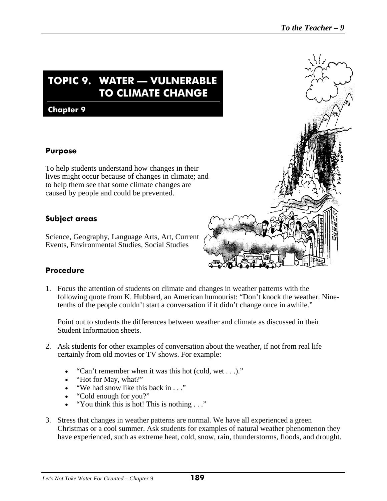# **TOPIC 9. WATER — VULNERABLE TO CLIMATE CHANGE**

#### **Chapter 9**

#### **Purpose**

To help students understand how changes in their lives might occur because of changes in climate; and to help them see that some climate changes are caused by people and could be prevented.

### **Subject areas**

Science, Geography, Language Arts, Art, Current Events, Environmental Studies, Social Studies

#### **Procedure**

1. Focus the attention of students on climate and changes in weather patterns with the following quote from K. Hubbard, an American humourist: "Don't knock the weather. Ninetenths of the people couldn't start a conversation if it didn't change once in awhile."

Point out to students the differences between weather and climate as discussed in their Student Information sheets.

- 2. Ask students for other examples of conversation about the weather, if not from real life certainly from old movies or TV shows. For example:
	- "Can't remember when it was this hot (cold, wet . . .)."
	- "Hot for May, what?"
	- "We had snow like this back in . . ."
	- "Cold enough for you?"
	- "You think this is hot! This is nothing . . ."
- 3. Stress that changes in weather patterns are normal. We have all experienced a green Christmas or a cool summer. Ask students for examples of natural weather phenomenon they have experienced, such as extreme heat, cold, snow, rain, thunderstorms, floods, and drought.

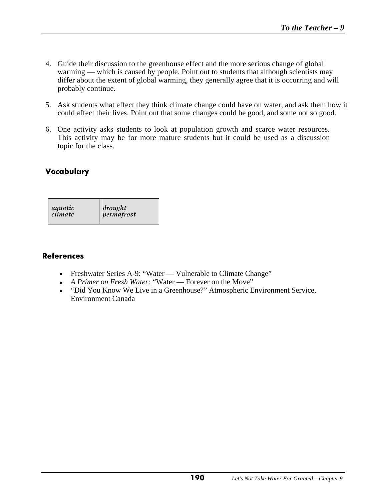- 4. Guide their discussion to the greenhouse effect and the more serious change of global warming — which is caused by people. Point out to students that although scientists may differ about the extent of global warming, they generally agree that it is occurring and will probably continue.
- 5. Ask students what effect they think climate change could have on water, and ask them how it could affect their lives. Point out that some changes could be good, and some not so good.
- 6. One activity asks students to look at population growth and scarce water resources. This activity may be for more mature students but it could be used as a discussion topic for the class.

### **Vocabulary**

| aquatic | drought    |
|---------|------------|
| climate | permafrost |

#### **References**

- Freshwater Series A-9: "Water Vulnerable to Climate Change"
- *A Primer on Fresh Water:* "Water Forever on the Move"
- "Did You Know We Live in a Greenhouse?" Atmospheric Environment Service, Environment Canada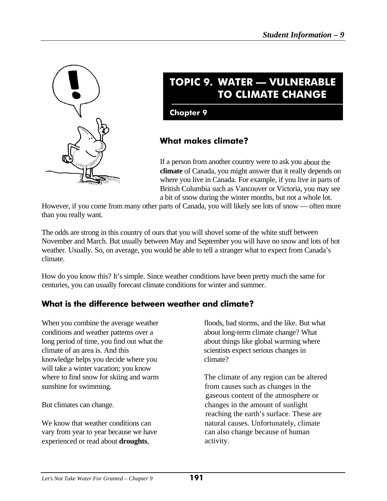

# **TOPIC 9. WATER — VULNERABLE TO CLIMATE CHANGE**

**Chapter 9**

## **What makes climate?**

If a person from another country were to ask you about the **climate** of Canada, you might answer that it really depends on where you live in Canada. For example, if you live in parts of British Columbia such as Vancouver or Victoria, you may see a bit of snow during the winter months, but not a whole lot.

However, if you come from many other parts of Canada, you will likely see lots of snow — often more than you really want.

The odds are strong in this country of ours that you will shovel some of the white stuff between November and March. But usually between May and September you will have no snow and lots of hot weather. Usually. So, on average, you would be able to tell a stranger what to expect from Canada's climate.

How do you know this? It's simple. Since weather conditions have been pretty much the same for centuries, you can usually forecast climate conditions for winter and summer.

## **What is the difference between weather and climate?**

When you combine the average weather floods, bad storms, and the like. But what conditions and weather patterns over a about long-term climate change? What long period of time, you find out what the about things like global warming where climate of an area is. And this scientists expect serious changes in knowledge helps you decide where you climate? will take a winter vacation; you know sunshine for swimming. from causes such as changes in the

We know that weather conditions can natural causes. Unfortunately, climate vary from year to year because we have can also change because of human experienced or read about **droughts**, activity.

where to find snow for skiing and warm The climate of any region can be altered gaseous content of the atmosphere or But climates can change. changes in the amount of sunlight reaching the earth's surface. These are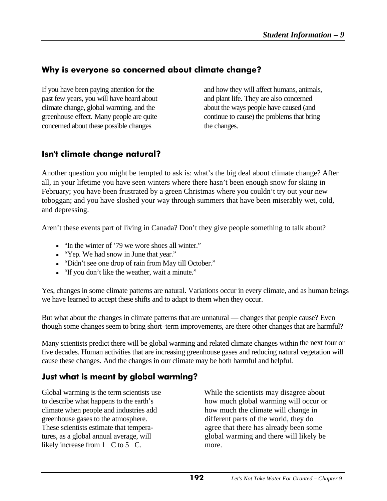## **Why is everyone so concerned about climate change?**

If you have been paying attention for the and how they will affect humans, animals, past few years, you will have heard about and plant life. They are also concerned climate change, global warming, and the about the ways people have caused (and greenhouse effect. Many people are quite continue to cause) the problems that bring concerned about these possible changes the changes.

## **Isn't climate change natural?**

Another question you might be tempted to ask is: what's the big deal about climate change? After all, in your lifetime you have seen winters where there hasn't been enough snow for skiing in February; you have been frustrated by a green Christmas where you couldn't try out your new toboggan; and you have sloshed your way through summers that have been miserably wet, cold, and depressing.

Aren't these events part of living in Canada? Don't they give people something to talk about?

- "In the winter of '79 we wore shoes all winter."
- "Yep. We had snow in June that year."
- "Didn't see one drop of rain from May till October."
- "If you don't like the weather, wait a minute."

Yes, changes in some climate patterns are natural. Variations occur in every climate, and as human beings we have learned to accept these shifts and to adapt to them when they occur.

But what about the changes in climate patterns that are unnatural — changes that people cause? Even though some changes seem to bring short–term improvements, are there other changes that are harmful?

Many scientists predict there will be global warming and related climate changes within the next four or five decades. Human activities that are increasing greenhouse gases and reducing natural vegetation will cause these changes. And the changes in our climate may be both harmful and helpful.

## **Just what is meant by global warming?**

climate when people and industries add how much the climate will change in greenhouse gases to the atmosphere. different parts of the world, they do likely increase from  $1 \text{ }C$  to  $5 \text{ }C$ . more.

Global warming is the term scientists use While the scientists may disagree about to describe what happens to the earth's how much global warming will occur or These scientists estimate that tempera- agree that there has already been some tures, as a global annual average, will global warming and there will likely be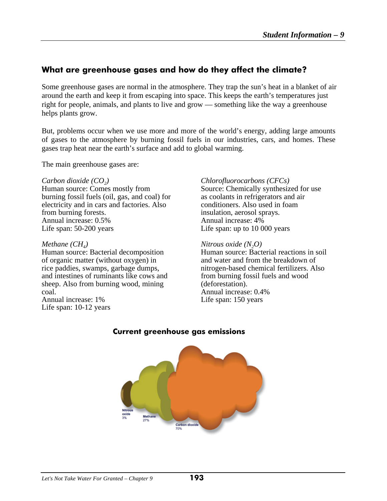## **What are greenhouse gases and how do they affect the climate?**

Some greenhouse gases are normal in the atmosphere. They trap the sun's heat in a blanket of air around the earth and keep it from escaping into space. This keeps the earth's temperatures just right for people, animals, and plants to live and grow — something like the way a greenhouse helps plants grow.

But, problems occur when we use more and more of the world's energy, adding large amounts of gases to the atmosphere by burning fossil fuels in our industries, cars, and homes. These gases trap heat near the earth's surface and add to global warming.

The main greenhouse gases are:

*Carbon dioxide (CO<sub>2</sub>)*<br> *Chlorofluorocarbons (CFCs)*<br> *Chlorofluorocarbons (CFCs)*<br>
Source: Chemically synthesize burning fossil fuels (oil, gas, and coal) for electricity and in cars and factories. Also conditioners. Also used in foam from burning forests.  $\qquad \qquad$  insulation, aerosol sprays. Annual increase:  $0.5\%$  Annual increase: 4% Life span: 50-200 years Life span: up to 10 000 years

Human source: Bacterial decomposition of organic matter (without oxygen) in and water and from the breakdown of rice paddies, swamps, garbage dumps, nitrogen-based chemical fertilizers. Also and intestines of ruminants like cows and from burning fossil fuels and wood sheep. Also from burning wood, mining (deforestation). coal. Annual increase: 0.4% Annual increase: 1% Life span: 150 years

Life span: 10-12 years

Source: Chemically synthesized for use<br>as coolants in refrigerators and air

*Methane (CH<sub>4</sub>)*<br> *Mitrous oxide (N<sub>2</sub>O)*<br> *Human source: Bacterial decomposition*<br> *Human source: Bacterial reactions in soil* 



#### **Current greenhouse gas emissions**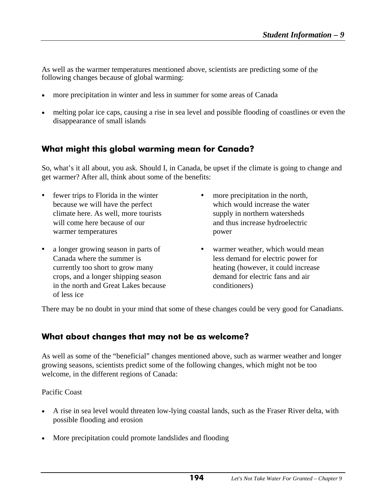As well as the warmer temperatures mentioned above, scientists are predicting some of the following changes because of global warming:

- more precipitation in winter and less in summer for some areas of Canada
- melting polar ice caps, causing a rise in sea level and possible flooding of coastlines or even the disappearance of small islands

## **What might this global warming mean for Canada?**

So, what's it all about, you ask. Should I, in Canada, be upset if the climate is going to change and get warmer? After all, think about some of the benefits:

- fewer trips to Florida in the winter more precipitation in the north, because we will have the perfect which would increase the water climate here. As well, more tourists supply in northern watersheds will come here because of our and thus increase hydroelectric warmer temperatures power
- a longer growing season in parts of warmer weather, which would mean crops, and a longer shipping season demand for electric fans and air in the north and Great Lakes because conditioners) of less ice
- - Canada where the summer is less demand for electric power for currently too short to grow many heating (however, it could increase

There may be no doubt in your mind that some of these changes could be very good for Canadians.

## **What about changes that may not be as welcome?**

As well as some of the "beneficial" changes mentioned above, such as warmer weather and longer growing seasons, scientists predict some of the following changes, which might not be too welcome, in the different regions of Canada:

Pacific Coast

- A rise in sea level would threaten low-lying coastal lands, such as the Fraser River delta, with possible flooding and erosion
- More precipitation could promote landslides and flooding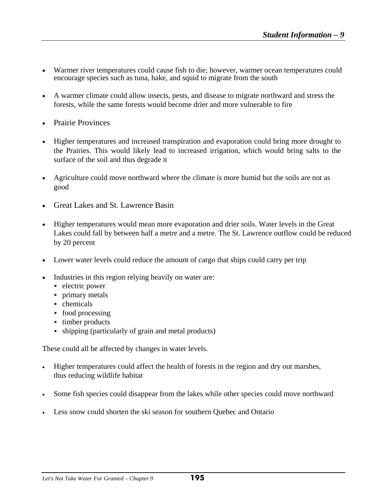- Warmer river temperatures could cause fish to die; however, warmer ocean temperatures could encourage species such as tuna, hake, and squid to migrate from the south
- A warmer climate could allow insects, pests, and disease to migrate northward and stress the forests, while the same forests would become drier and more vulnerable to fire
- Prairie Provinces
- Higher temperatures and increased transpiration and evaporation could bring more drought to the Prairies. This would likely lead to increased irrigation, which would bring salts to the surface of the soil and thus degrade it
- Agriculture could move northward where the climate is more humid but the soils are not as good
- Great Lakes and St. Lawrence Basin
- Higher temperatures would mean more evaporation and drier soils. Water levels in the Great Lakes could fall by between half a metre and a metre. The St. Lawrence outflow could be reduced by 20 percent
- Lower water levels could reduce the amount of cargo that ships could carry per trip
- Industries in this region relying heavily on water are:
	- $\blacktriangleright$  electric power
	- primary metals
	- $\blacktriangleright$  chemicals
	- $\triangleright$  food processing
	- $\rightarrow$  timber products
	- $\rightarrow$  shipping (particularly of grain and metal products)

These could all be affected by changes in water levels.

- Higher temperatures could affect the health of forests in the region and dry out marshes, thus reducing wildlife habitat
- Some fish species could disappear from the lakes while other species could move northward
- Less snow could shorten the ski season for southern Quebec and Ontario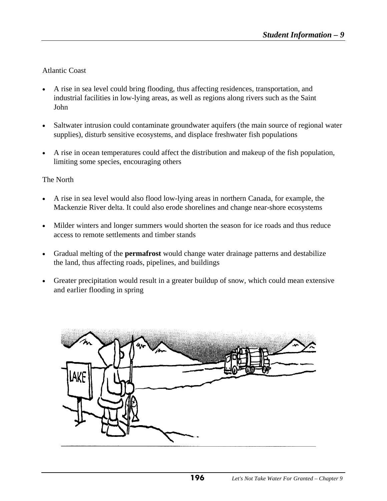Atlantic Coast

- A rise in sea level could bring flooding, thus affecting residences, transportation, and industrial facilities in low-lying areas, as well as regions along rivers such as the Saint John
- Saltwater intrusion could contaminate groundwater aquifers (the main source of regional water supplies), disturb sensitive ecosystems, and displace freshwater fish populations
- A rise in ocean temperatures could affect the distribution and makeup of the fish population, limiting some species, encouraging others

The North

- A rise in sea level would also flood low-lying areas in northern Canada, for example, the Mackenzie River delta. It could also erode shorelines and change near-shore ecosystems
- Milder winters and longer summers would shorten the season for ice roads and thus reduce access to remote settlements and timber stands
- Gradual melting of the **permafrost** would change water drainage patterns and destabilize the land, thus affecting roads, pipelines, and buildings
- Greater precipitation would result in a greater buildup of snow, which could mean extensive and earlier flooding in spring

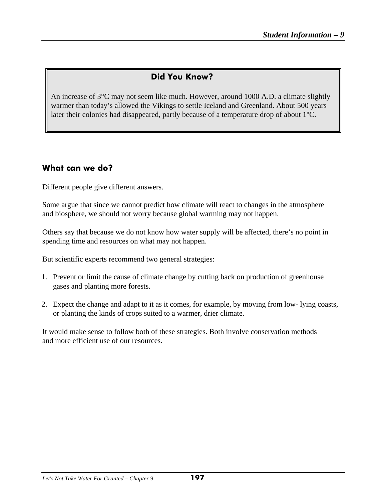## **Did You Know?**

An increase of 3°C may not seem like much. However, around 1000 A.D. a climate slightly warmer than today's allowed the Vikings to settle Iceland and Greenland. About 500 years later their colonies had disappeared, partly because of a temperature drop of about 1°C.

### **What can we do?**

Different people give different answers.

Some argue that since we cannot predict how climate will react to changes in the atmosphere and biosphere, we should not worry because global warming may not happen.

Others say that because we do not know how water supply will be affected, there's no point in spending time and resources on what may not happen.

But scientific experts recommend two general strategies:

- 1. Prevent or limit the cause of climate change by cutting back on production of greenhouse gases and planting more forests.
- 2. Expect the change and adapt to it as it comes, for example, by moving from low- lying coasts, or planting the kinds of crops suited to a warmer, drier climate.

It would make sense to follow both of these strategies. Both involve conservation methods and more efficient use of our resources.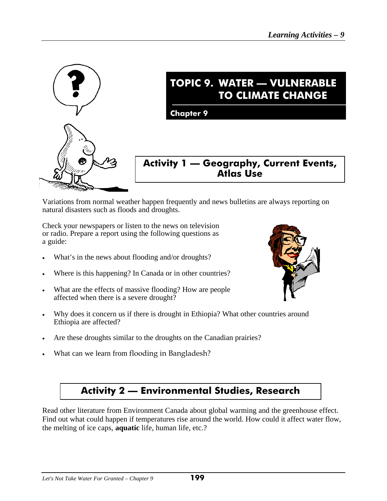

# **TOPIC 9. WATER — VULNERABLE TO CLIMATE CHANGE**

**Chapter 9**

## **Activity 1 — Geography, Current Events, Atlas Use**

Variations from normal weather happen frequently and news bulletins are always reporting on natural disasters such as floods and droughts.

Check your newspapers or listen to the news on television or radio. Prepare a report using the following questions as a guide:

- What's in the news about flooding and/or droughts?
- Where is this happening? In Canada or in other countries?
- What are the effects of massive flooding? How are people affected when there is a severe drought?
- Why does it concern us if there is drought in Ethiopia? What other countries around Ethiopia are affected?
- Are these droughts similar to the droughts on the Canadian prairies?
- What can we learn from flooding in Bangladesh?



## **Activity 2 — Environmental Studies, Research**

Read other literature from Environment Canada about global warming and the greenhouse effect. Find out what could happen if temperatures rise around the world. How could it affect water flow, the melting of ice caps, **aquatic** life, human life, etc.?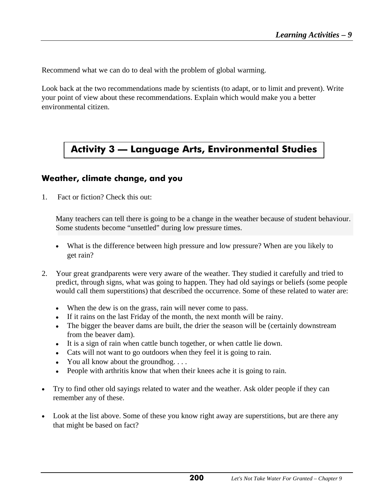Recommend what we can do to deal with the problem of global warming.

Look back at the two recommendations made by scientists (to adapt, or to limit and prevent). Write your point of view about these recommendations. Explain which would make you a better environmental citizen.

## **Activity 3 — Language Arts, Environmental Studies**

### **Weather, climate change, and you**

1. Fact or fiction? Check this out:

Many teachers can tell there is going to be a change in the weather because of student behaviour. Some students become "unsettled" during low pressure times.

- What is the difference between high pressure and low pressure? When are you likely to get rain?
- 2. Your great grandparents were very aware of the weather. They studied it carefully and tried to predict, through signs, what was going to happen. They had old sayings or beliefs (some people would call them superstitions) that described the occurrence. Some of these related to water are:
	- When the dew is on the grass, rain will never come to pass.
	- If it rains on the last Friday of the month, the next month will be rainy.
	- The bigger the beaver dams are built, the drier the season will be (certainly downstream from the beaver dam).
	- It is a sign of rain when cattle bunch together, or when cattle lie down.
	- Cats will not want to go outdoors when they feel it is going to rain.
	- You all know about the groundhog. . . .
	- People with arthritis know that when their knees ache it is going to rain.
- Try to find other old sayings related to water and the weather. Ask older people if they can remember any of these.
- Look at the list above. Some of these you know right away are superstitions, but are there any that might be based on fact?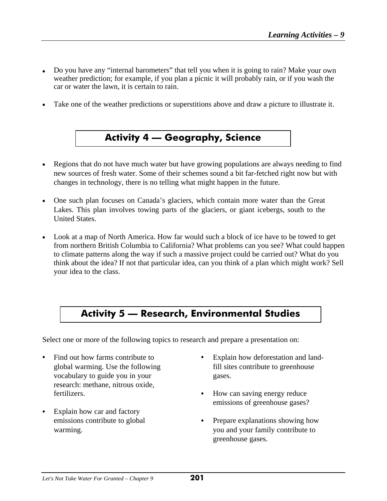- Do you have any "internal barometers" that tell you when it is going to rain? Make your own weather prediction; for example, if you plan a picnic it will probably rain, or if you wash the car or water the lawn, it is certain to rain.
- Take one of the weather predictions or superstitions above and draw a picture to illustrate it.

# **Activity 4 — Geography, Science**

- Regions that do not have much water but have growing populations are always needing to find new sources of fresh water. Some of their schemes sound a bit far-fetched right now but with changes in technology, there is no telling what might happen in the future.
- One such plan focuses on Canada's glaciers, which contain more water than the Great Lakes. This plan involves towing parts of the glaciers, or giant icebergs, south to the United States.
- Look at a map of North America. How far would such a block of ice have to be towed to get from northern British Columbia to California? What problems can you see? What could happen to climate patterns along the way if such a massive project could be carried out? What do you think about the idea? If not that particular idea, can you think of a plan which might work? Sell your idea to the class.

## **Activity 5 — Research, Environmental Studies**

Select one or more of the following topics to research and prepare a presentation on:

- vocabulary to guide you in your gases. research: methane, nitrous oxide, fertilizers.  $\bullet$  How can saving energy reduce
- $\bullet$  Explain how car and factory
- Find out how farms contribute to **C** Explain how deforestation and landglobal warming. Use the following fill sites contribute to greenhouse
	- emissions of greenhouse gases?
	- emissions contribute to global Prepare explanations showing how warming. We warming warming warming. greenhouse gases.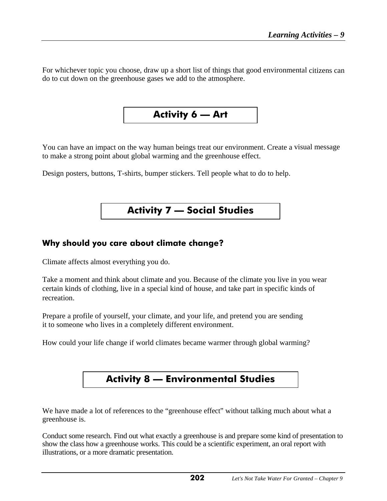For whichever topic you choose, draw up a short list of things that good environmental citizens can do to cut down on the greenhouse gases we add to the atmosphere.

**Activity 6 — Art** 

You can have an impact on the way human beings treat our environment. Create a visual message to make a strong point about global warming and the greenhouse effect.

Design posters, buttons, T-shirts, bumper stickers. Tell people what to do to help.

## **Activity 7 — Social Studies**

### **Why should you care about climate change?**

Climate affects almost everything you do.

Take a moment and think about climate and you. Because of the climate you live in you wear certain kinds of clothing, live in a special kind of house, and take part in specific kinds of recreation.

Prepare a profile of yourself, your climate, and your life, and pretend you are sending it to someone who lives in a completely different environment.

How could your life change if world climates became warmer through global warming?

# **Activity 8 — Environmental Studies**

We have made a lot of references to the "greenhouse effect" without talking much about what a greenhouse is.

Conduct some research. Find out what exactly a greenhouse is and prepare some kind of presentation to show the class how a greenhouse works. This could be a scientific experiment, an oral report with illustrations, or a more dramatic presentation.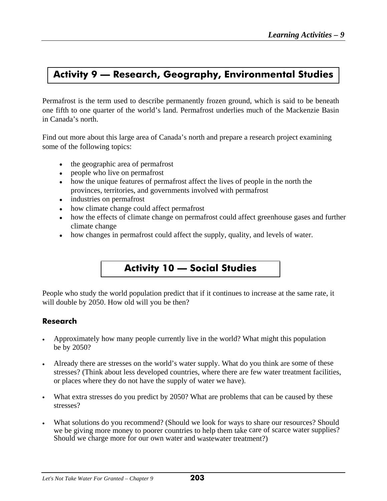## **Activity 9 — Research, Geography, Environmental Studies**

Permafrost is the term used to describe permanently frozen ground, which is said to be beneath one fifth to one quarter of the world's land. Permafrost underlies much of the Mackenzie Basin in Canada's north.

Find out more about this large area of Canada's north and prepare a research project examining some of the following topics:

- the geographic area of permafrost
- people who live on permafrost
- how the unique features of permafrost affect the lives of people in the north the provinces, territories, and governments involved with permafrost
- industries on permafrost
- how climate change could affect permafrost
- how the effects of climate change on permafrost could affect greenhouse gases and further climate change
- how changes in permafrost could affect the supply, quality, and levels of water.

# **Activity 10 — Social Studies**

People who study the world population predict that if it continues to increase at the same rate, it will double by 2050. How old will you be then?

#### **Research**

- Approximately how many people currently live in the world? What might this population be by 2050?
- Already there are stresses on the world's water supply. What do you think are some of these stresses? (Think about less developed countries, where there are few water treatment facilities, or places where they do not have the supply of water we have).
- What extra stresses do you predict by 2050? What are problems that can be caused by these stresses?
- What solutions do you recommend? (Should we look for ways to share our resources? Should we be giving more money to poorer countries to help them take care of scarce water supplies? Should we charge more for our own water and wastewater treatment?)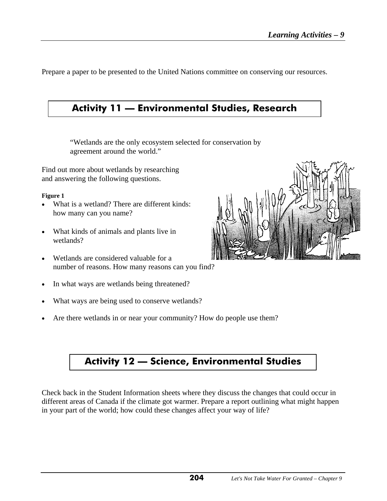Prepare a paper to be presented to the United Nations committee on conserving our resources.

## **Activity 11 — Environmental Studies, Research**

"Wetlands are the only ecosystem selected for conservation by agreement around the world."

Find out more about wetlands by researching and answering the following questions.

#### **Figure 1**

- What is a wetland? There are different kinds: how many can you name?
- What kinds of animals and plants live in wetlands?
- Wetlands are considered valuable for a number of reasons. How many reasons can you find?
- In what ways are wetlands being threatened?
- What ways are being used to conserve wetlands?
- Are there wetlands in or near your community? How do people use them?

# **Activity 12 — Science, Environmental Studies**

Check back in the Student Information sheets where they discuss the changes that could occur in different areas of Canada if the climate got warmer. Prepare a report outlining what might happen in your part of the world; how could these changes affect your way of life?

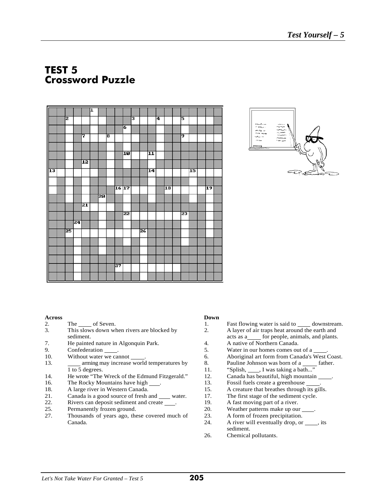## **TEST 5 Crossword Puzzle**

| I               |    |    |    | I |                 |   |       |    |   |    |                 |   |                 |    |                 |                 |  |
|-----------------|----|----|----|---|-----------------|---|-------|----|---|----|-----------------|---|-----------------|----|-----------------|-----------------|--|
|                 | 2  |    |    |   |                 |   |       |    | 3 |    |                 | 4 |                 | 5  |                 |                 |  |
|                 |    |    |    |   |                 |   |       | 6  |   |    |                 |   |                 |    |                 |                 |  |
|                 |    |    | 7  |   |                 | 8 |       |    |   |    |                 |   |                 | 9  |                 |                 |  |
|                 |    |    |    |   |                 |   |       |    |   |    |                 |   |                 |    |                 |                 |  |
|                 |    |    |    |   |                 |   |       | 10 |   |    | 11              |   |                 |    |                 |                 |  |
|                 |    |    | 12 |   |                 |   |       |    |   |    |                 |   |                 |    |                 |                 |  |
| $\overline{13}$ |    |    |    |   |                 |   |       |    |   |    | $\overline{14}$ |   |                 |    | $\overline{15}$ |                 |  |
|                 |    |    |    |   |                 |   |       |    |   |    |                 |   |                 |    |                 |                 |  |
|                 |    |    |    |   |                 |   | 16 17 |    |   |    |                 |   | $\overline{18}$ |    |                 | $\overline{19}$ |  |
|                 |    |    |    |   | $\overline{20}$ |   |       |    |   |    |                 |   |                 |    |                 |                 |  |
|                 |    |    | 21 |   |                 |   |       |    |   |    |                 |   |                 |    |                 |                 |  |
|                 |    |    |    |   |                 |   |       | 22 |   |    |                 |   |                 | 23 |                 |                 |  |
|                 |    | 24 |    |   |                 |   |       |    |   |    |                 |   |                 |    |                 |                 |  |
|                 | 25 |    |    |   |                 |   |       |    |   | 26 |                 |   |                 |    |                 |                 |  |
|                 |    |    |    |   |                 |   |       |    |   |    |                 |   |                 |    |                 |                 |  |
|                 |    |    |    |   |                 |   |       |    |   |    |                 |   |                 |    |                 |                 |  |
|                 |    |    |    |   |                 |   |       |    |   |    |                 |   |                 |    |                 |                 |  |
|                 |    |    |    |   |                 |   | 27    |    |   |    |                 |   |                 |    |                 |                 |  |
|                 |    |    |    |   |                 |   |       |    |   |    |                 |   |                 |    |                 |                 |  |



- 
- This slows down when rivers are blocked by sediment.
- 7. He painted nature in Algonquin Park. 4.
- 
- 
- 13. **arming may increase world temperatures by** 8. Pauline Johnson was born of a father. 1 to 5 degrees. 11. "Splish, J, I was taking a bath..."
- 14. He wrote "The Wreck of the Edmund Fitzgerald." 12. Canada has beautiful, high mountain
- 16. The Rocky Mountains have high . 13. Fossil fuels create a greenhouse .
- 
- 18. A large river in Western Canada. 15. A creature that breathes through its gills.<br>21. Canada is a good source of fresh and water. 17. The first stage of the sediment cycle. Canada is a good source of fresh and water. 17.
- 22. Rivers can deposit sediment and create \_\_\_\_. 19. A fast moving part of a river.
- 
- 27. Thousands of years ago, these covered much of 23. A form of frozen precipitation. Canada. 24. A river will eventually drop, or \_\_\_\_, its

#### **Across Down**

- 2. The of Seven.<br>
2. This slows down when rivers are blocked by the official contract and the earth and<br>
2. A layer of air traps heat around the earth and
	- 2. A layer of air traps heat around the earth and acts as a\_\_\_\_ for people, animals, and plants.<br>A native of Northern Canada.
	-
	-
- 9. Confederation . 5. Water in our homes comes out of a . 10. but water we cannot <u>. Source</u> the meaning may increase world temperatures by a compute Sequeline Johnson was born of a stather.
	-
	-
	-
	-
	-
	-
	-
- 25. Permanently frozen ground. 20. Weather patterns make up our .
	-
	- sediment.
	- 26. Chemical pollutants.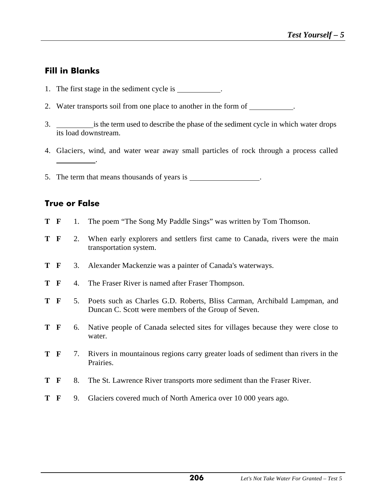## **Fill in Blanks**

- 1. The first stage in the sediment cycle is .
- 2. Water transports soil from one place to another in the form of .
- 3. is the term used to describe the phase of the sediment cycle in which water drops its load downstream.
- 4. Glaciers, wind, and water wear away small particles of rock through a process called .
- 5. The term that means thousands of years is .

## **True or False**

- **T F** 1. The poem "The Song My Paddle Sings" was written by Tom Thomson.
- **T F** 2. When early explorers and settlers first came to Canada, rivers were the main transportation system.
- **T F** 3. Alexander Mackenzie was a painter of Canada's waterways.
- **T F** 4. The Fraser River is named after Fraser Thompson.
- **T F** 5. Poets such as Charles G.D. Roberts, Bliss Carman, Archibald Lampman, and Duncan C. Scott were members of the Group of Seven.
- **T F** 6. Native people of Canada selected sites for villages because they were close to water.
- **T F** 7. Rivers in mountainous regions carry greater loads of sediment than rivers in the Prairies.
- **T F** 8. The St. Lawrence River transports more sediment than the Fraser River.
- **T F** 9. Glaciers covered much of North America over 10 000 years ago.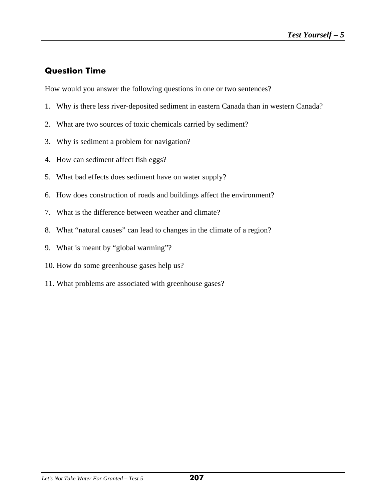## **Question Time**

How would you answer the following questions in one or two sentences?

- 1. Why is there less river-deposited sediment in eastern Canada than in western Canada?
- 2. What are two sources of toxic chemicals carried by sediment?
- 3. Why is sediment a problem for navigation?
- 4. How can sediment affect fish eggs?
- 5. What bad effects does sediment have on water supply?
- 6. How does construction of roads and buildings affect the environment?
- 7. What is the difference between weather and climate?
- 8. What "natural causes" can lead to changes in the climate of a region?
- 9. What is meant by "global warming"?
- 10. How do some greenhouse gases help us?
- 11. What problems are associated with greenhouse gases?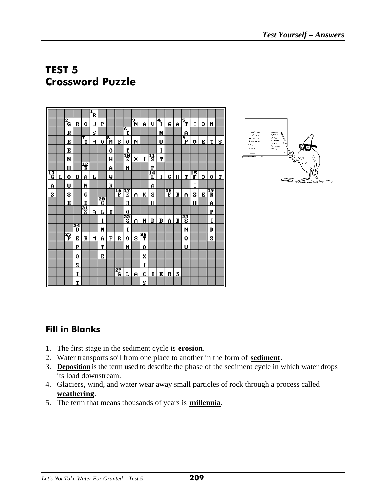# **TEST 5 Crossword Puzzle**





### **Fill in Blanks**

- 1. The first stage in the sediment cycle is **erosion**.
- 2. Water transports soil from one place to another in the form of **sediment**.
- 3. **Deposition**is the term used to describe the phase of the sediment cycle in which water drops its load downstream.
- 4. Glaciers, wind, and water wear away small particles of rock through a process called **weathering**.
- 5. The term that means thousands of years is **millennia**.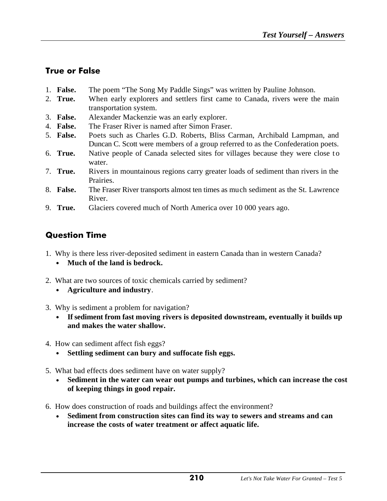## **True or False**

- 1. **False.** The poem "The Song My Paddle Sings" was written by Pauline Johnson.
- 2. **True.** When early explorers and settlers first came to Canada, rivers were the main transportation system.
- 3. **False.** Alexander Mackenzie was an early explorer.
- 4. **False.** The Fraser River is named after Simon Fraser.
- 5. **False.** Poets such as Charles G.D. Roberts, Bliss Carman, Archibald Lampman, and Duncan C. Scott were members of a group referred to as the Confederation poets.
- 6. **True.** Native people of Canada selected sites for villages because they were close t o water.
- 7. **True.** Rivers in mountainous regions carry greater loads of sediment than rivers in the Prairies.
- 8. **False.** The Fraser River transports almost ten times as much sediment as the St. Lawrence River.
- 9. **True.** Glaciers covered much of North America over 10 000 years ago.

## **Question Time**

- 1. Why is there less river-deposited sediment in eastern Canada than in western Canada?
	- **Much of the land is bedrock.**
- 2. What are two sources of toxic chemicals carried by sediment?
	- **Agriculture and industry**.
- 3. Why is sediment a problem for navigation?
	- **If sediment from fast moving rivers is deposited downstream, eventually it builds up and makes the water shallow.**
- 4. How can sediment affect fish eggs?
	- **Settling sediment can bury and suffocate fish eggs.**
- 5. What bad effects does sediment have on water supply?
	- **Sediment in the water can wear out pumps and turbines, which can increase the cost of keeping things in good repair.**
- 6. How does construction of roads and buildings affect the environment?
	- **Sediment from construction sites can find its way to sewers and streams and can increase the costs of water treatment or affect aquatic life.**